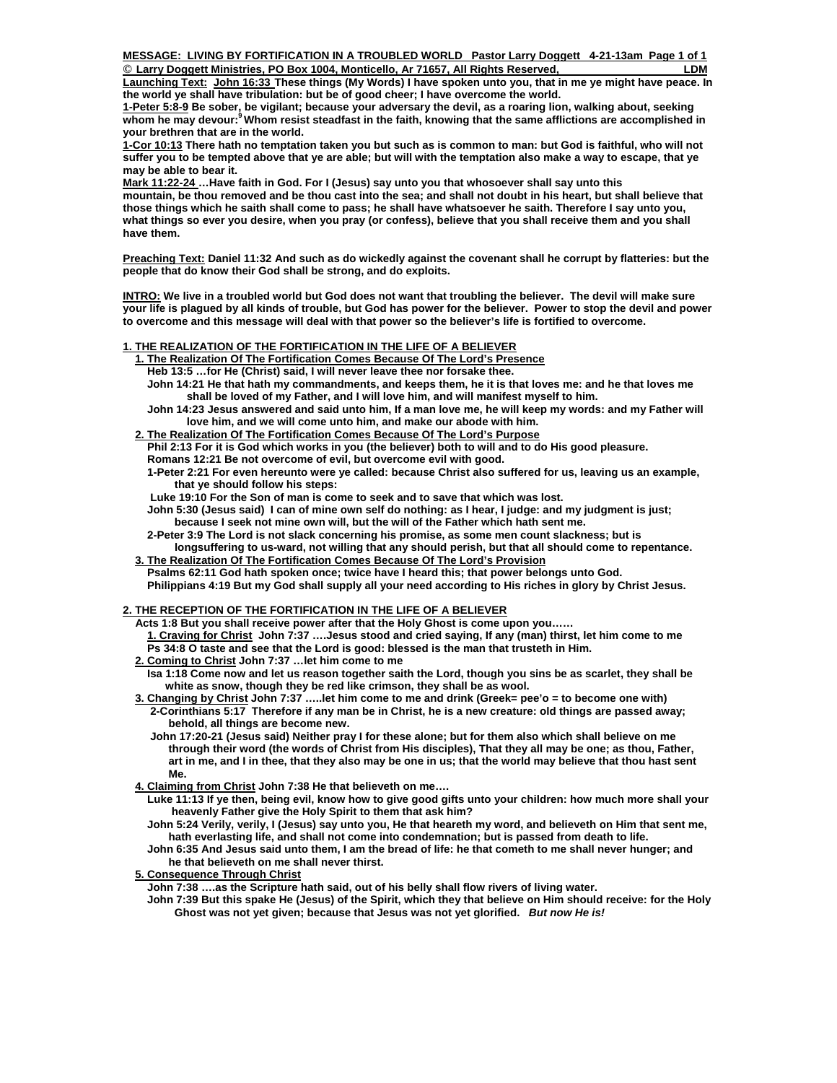**MESSAGE: LIVING BY FORTIFICATION IN A TROUBLED WORLD Pastor Larry Doggett 4-21-13am Page 1 of 1 © Larry Doggett Ministries, O Box 1004, Monticello, Ar 71657, All Rights Reserved, LDM P**

**Launching Text: John 16:33 These things (My Words) I have spoken unto you, that in me ye might have peace. In the world ye shall have tribulation: but be of good cheer; I have overcome the world.** 

**1-Peter 5:8-9 Be sober, be vigilant; because your adversary the devil, as a roaring lion, walking about, seeking whom he may devour:9 Whom resist steadfast in the faith, knowing that the same afflictions are accomplished in your brethren that are in the world.**

**1-Cor 10:13 There hath no temptation taken you but such as is common to man: but God is faithful, who will not suffer you to be tempted above that ye are able; but will with the temptation also make a way to escape, that ye may be able to bear it.** 

**Mark 11:22-24 …Have faith in God. For I (Jesus) say unto you that whosoever shall say unto this mountain, be thou removed and be thou cast into the sea; and shall not doubt in his heart, but shall believe that those things which he saith shall come to pass; he shall have whatsoever he saith. Therefore I say unto you, what things so ever you desire, when you pray (or confess), believe that you shall receive them and you shall have them.** 

**Preaching Text: Daniel 11:32 And such as do wickedly against the covenant shall he corrupt by flatteries: but the people that do know their God shall be strong, and do exploits.** 

**INTRO: We live in a troubled world but God does not want that troubling the believer. The devil will make sure your life is plagued by all kinds of trouble, but God has power for the believer. Power to stop the devil and power to overcome and this message will deal with that power so the believer's life is fortified to overcome.** 

## **1. THE REALIZATION OF THE FORTIFICATION IN THE LIFE OF A BELIEVER**

- **1. The Realization Of The Fortification Comes Because Of The Lord's Presence**
- **Heb 13:5 …for He (Christ) said, I will never leave thee nor forsake thee.**
- **John 14:21 He that hath my commandments, and keeps them, he it is that loves me: and he that loves me shall be loved of my Father, and I will love him, and will manifest myself to him.**
- **John 14:23 Jesus answered and said unto him, If a man love me, he will keep my words: and my Father will love him, and we will come unto him, and make our abode with him.**
- **2. The Realization Of The Fortification Comes Because Of The Lord's Purpose**
	- **Phil 2:13 For it is God which works in you (the believer) both to will and to do His good pleasure.**
	- **Romans 12:21 Be not overcome of evil, but overcome evil with good.**
	- **1-Peter 2:21 For even hereunto were ye called: because Christ also suffered for us, leaving us an example, that ye should follow his steps:**
	- **Luke 19:10 For the Son of man is come to seek and to save that which was lost.**
	- **John 5:30 (Jesus said) I can of mine own self do nothing: as I hear, I judge: and my judgment is just; because I seek not mine own will, but the will of the Father which hath sent me.**
	- **2-Peter 3:9 The Lord is not slack concerning his promise, as some men count slackness; but is**
- **longsuffering to us-ward, not willing that any should perish, but that all should come to repentance. 3. The Realization Of The Fortification Comes Because Of The Lord's Provision**
- **Psalms 62:11 God hath spoken once; twice have I heard this; that power belongs unto God. Philippians 4:19 But my God shall supply all your need according to His riches in glory by Christ Jesus.**

# **2. THE RECEPTION OF THE FORTIFICATION IN THE LIFE OF A BELIEVER**

- **Acts 1:8 But you shall receive power after that the Holy Ghost is come upon you……**
- **1. Craving for Christ John 7:37 ….Jesus stood and cried saying, If any (man) thirst, let him come to me Ps 34:8 O taste and see that the Lord is good: blessed is the man that trusteth in Him.**
- **2. Coming to Christ John 7:37 …let him come to me**
- **Isa 1:18 Come now and let us reason together saith the Lord, though you sins be as scarlet, they shall be white as snow, though they be red like crimson, they shall be as wool.**
- **3. Changing by Christ John 7:37 …..let him come to me and drink (Greek= pee'o = to become one with) 2-Corinthians 5:17 Therefore if any man be in Christ, he is a new creature: old things are passed away; behold, all things are become new.** 
	- **John 17:20-21 (Jesus said) Neither pray I for these alone; but for them also which shall believe on me through their word (the words of Christ from His disciples), That they all may be one; as thou, Father, art in me, and I in thee, that they also may be one in us; that the world may believe that thou hast sent Me.**
- **4. Claiming from Christ John 7:38 He that believeth on me….** 
	- **Luke 11:13 If ye then, being evil, know how to give good gifts unto your children: how much more shall your heavenly Father give the Holy Spirit to them that ask him?**
	- **John 5:24 Verily, verily, I (Jesus) say unto you, He that heareth my word, and believeth on Him that sent me, hath everlasting life, and shall not come into condemnation; but is passed from death to life.**
- **John 6:35 And Jesus said unto them, I am the bread of life: he that cometh to me shall never hunger; and he that believeth on me shall never thirst.**

# **5. Consequence Through Christ**

- **John 7:38 ….as the Scripture hath said, out of his belly shall flow rivers of living water.**
- **John 7:39 But this spake He (Jesus) of the Spirit, which they that believe on Him should receive: for the Holy Ghost was not yet given; because that Jesus was not yet glorified.** *But now He is!*